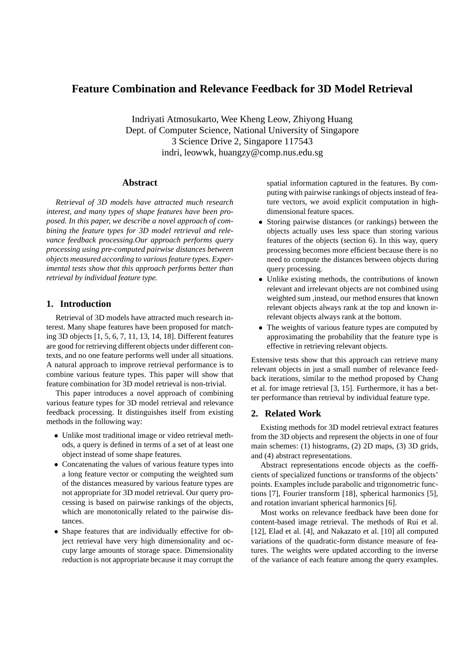# **Feature Combination and Relevance Feedback for 3D Model Retrieval**

Indriyati Atmosukarto, Wee Kheng Leow, Zhiyong Huang Dept. of Computer Science, National University of Singapore 3 Science Drive 2, Singapore 117543 indri, leowwk, huangzy@comp.nus.edu.sg

# **Abstract**

*Retrieval of 3D models have attracted much research interest, and many types of shape features have been proposed. In this paper, we describe a novel approach of combining the feature types for 3D model retrieval and relevance feedback processing.Our approach performs query processing using pre-computed pairwise distances between objects measured according to various feature types. Experimental tests show that this approach performs better than retrieval by individual feature type.*

## **1. Introduction**

Retrieval of 3D models have attracted much research interest. Many shape features have been proposed for matching 3D objects [1, 5, 6, 7, 11, 13, 14, 18]. Different features are good for retrieving different objects under different contexts, and no one feature performs well under all situations. A natural approach to improve retrieval performance is to combine various feature types. This paper will show that feature combination for 3D model retrieval is non-trivial.

This paper introduces a novel approach of combining various feature types for 3D model retrieval and relevance feedback processing. It distinguishes itself from existing methods in the following way:

- Unlike most traditional image or video retrieval methods, a query is defined in terms of a set of at least one object instead of some shape features.
- Concatenating the values of various feature types into a long feature vector or computing the weighted sum of the distances measured by various feature types are not appropriate for 3D model retrieval. Our query processing is based on pairwise rankings of the objects, which are monotonically related to the pairwise distances.
- Shape features that are individually effective for object retrieval have very high dimensionality and occupy large amounts of storage space. Dimensionality reduction is not appropriate because it may corrupt the

spatial information captured in the features. By computing with pairwise rankings of objects instead of feature vectors, we avoid explicit computation in highdimensional feature spaces.

- Storing pairwise distances (or rankings) between the objects actually uses less space than storing various features of the objects (section 6). In this way, query processing becomes more efficient because there is no need to compute the distances between objects during query processing.
- Unlike existing methods, the contributions of known relevant and irrelevant objects are not combined using weighted sum ,instead, our method ensures that known relevant objects always rank at the top and known irrelevant objects always rank at the bottom.
- The weights of various feature types are computed by approximating the probability that the feature type is effective in retrieving relevant objects.

Extensive tests show that this approach can retrieve many relevant objects in just a small number of relevance feedback iterations, similar to the method proposed by Chang et al. for image retrieval [3, 15]. Furthermore, it has a better performance than retrieval by individual feature type.

# **2. Related Work**

Existing methods for 3D model retrieval extract features from the 3D objects and represent the objects in one of four main schemes: (1) histograms, (2) 2D maps, (3) 3D grids, and (4) abstract representations.

Abstract representations encode objects as the coefficients of specialized functions or transforms of the objects' points. Examples include parabolic and trigonometric functions [7], Fourier transform [18], spherical harmonics [5], and rotation invariant spherical harmonics [6].

Most works on relevance feedback have been done for content-based image retrieval. The methods of Rui et al. [12], Elad et al. [4], and Nakazato et al. [10] all computed variations of the quadratic-form distance measure of features. The weights were updated according to the inverse of the variance of each feature among the query examples.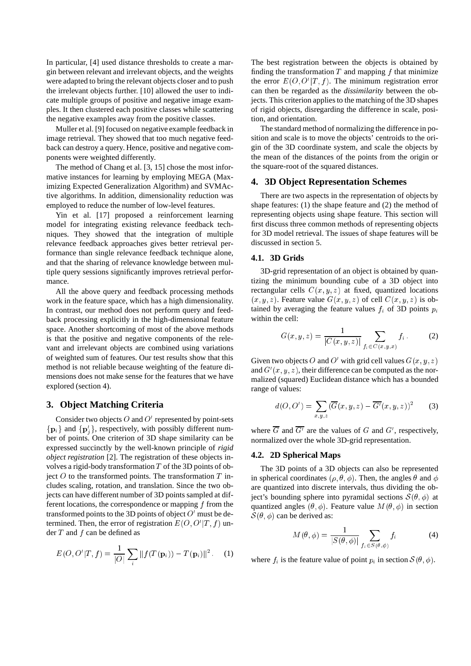In particular, [4] used distance thresholds to create a margin between relevant and irrelevant objects, and the weights were adapted to bring the relevant objects closer and to push the irrelevant objects further. [10] allowed the user to indicate multiple groups of positive and negative image examples. It then clustered each positive classes while scattering the negative examples away from the positive classes.

Muller et al. [9] focused on negative example feedback in image retrieval. They showed that too much negative feedback can destroy a query. Hence, positive and negative components were weighted differently.

The method of Chang et al. [3, 15] chose the most informative instances for learning by employing MEGA (Maximizing Expected Generalization Algorithm) and SVMActive algorithms. In addition, dimensionality reduction was employed to reduce the number of low-level features.

Yin et al. [17] proposed a reinforcement learning model for integrating existing relevance feedback techniques. They showed that the integration of multiple relevance feedback approaches gives better retrieval performance than single relevance feedback technique alone, and that the sharing of relevance knowledge between multiple query sessions significantly improves retrieval performance.

All the above query and feedback processing methods work in the feature space, which has a high dimensionality. In contrast, our method does not perform query and feedback processing explicitly in the high-dimensional feature space. Another shortcoming of most of the above methods is that the positive and negative components of the relevant and irrelevant objects are combined using variations of weighted sum of features. Our test results show that this method is not reliable because weighting of the feature dimensions does not make sense for the features that we have explored (section 4).

## **3. Object Matching Criteria**

Consider two objects  $O$  and  $O'$  represented by point-sets  $\{p_i\}$  and  $\{p'_i\}$ , respectively, with possibly different number of points. One criterion of 3D shape similarity can be expressed succinctly by the well-known principle of *rigid object registration* [2]. The registration of these objects involves a rigid-body transformation  $T$  of the 3D points of object  $O$  to the transformed points. The transformation  $T$  includes scaling, rotation, and translation. Since the two objects can have different number of 3D points sampled at different locations, the correspondence or mapping  $f$  from the transformed points to the 3D points of object  $O'$  must be determined. Then, the error of registration  $E(O, O'|T, f)$  under  $T$  and  $f$  can be defined as

$$
E(O, O'|T, f) = \frac{1}{|O|} \sum_{i} ||f(T(\mathbf{p}_i)) - T(\mathbf{p}_i)||^2.
$$
 (1)

The best registration between the objects is obtained by finding the transformation  $T$  and mapping  $f$  that minimize the error  $E(O, O'|T, f)$ . The minimum registration error can then be regarded as the *dissimilarity* between the objects. This criterion applies to the matching of the 3D shapes of rigid objects, disregarding the difference in scale, position, and orientation.

The standard method of normalizing the difference in position and scale is to move the objects' centroids to the origin of the 3D coordinate system, and scale the objects by the mean of the distances of the points from the origin or the square-root of the squared distances.

## **4. 3D Object Representation Schemes**

There are two aspects in the representation of objects by shape features: (1) the shape feature and (2) the method of representing objects using shape feature. This section will first discuss three common methods of representing objects for 3D model retrieval. The issues of shape features will be discussed in section 5.

#### **4.1. 3D Grids**

3D-grid representation of an object is obtained by quantizing the minimum bounding cube of a 3D object into rectangular cells  $C(x, y, z)$  at fixed, quantized locations  $(x, y, z)$ . Feature value  $G(x, y, z)$  of cell  $C(x, y, z)$  is obtained by averaging the feature values  $f_i$  of 3D points  $p_i$ within the cell:

$$
G(x, y, z) = \frac{1}{|C(x, y, z)|} \sum_{f_i \in C(x, y, x)} f_i.
$$
 (2)

Given two objects O and O' with grid cell values  $G(x, y, z)$ and  $G'(x, y, z)$ , their difference can be computed as the normalized (squared) Euclidean distance which has a bounded range of values:

$$
d(O, O') = \sum_{x,y,z} (\overline{G}(x,y,z) - \overline{G'}(x,y,z))^2
$$
 (3)

where G and  $G'$  are the values of G and  $G'$ , respectively, normalized over the whole 3D-grid representation.

#### **4.2. 2D Spherical Maps**

The 3D points of a 3D objects can also be represented in spherical coordinates ( $\rho$ ,  $\theta$ ,  $\phi$ ). Then, the angles  $\theta$  and  $\phi$ are quantized into discrete intervals, thus dividing the object's bounding sphere into pyramidal sections  $\mathcal{S}(\theta, \phi)$  at quantized angles  $(\theta, \phi)$ . Feature value  $M(\theta, \phi)$  in section  $S(\theta, \phi)$  can be derived as:

$$
M(\theta,\phi) = \frac{1}{|S(\theta,\phi)|} \sum_{f_i \in S(\theta,\phi)} f_i \tag{4}
$$

where  $f_i$  is the feature value of point  $p_i$  in section  $\mathcal{S}(\theta, \phi)$ .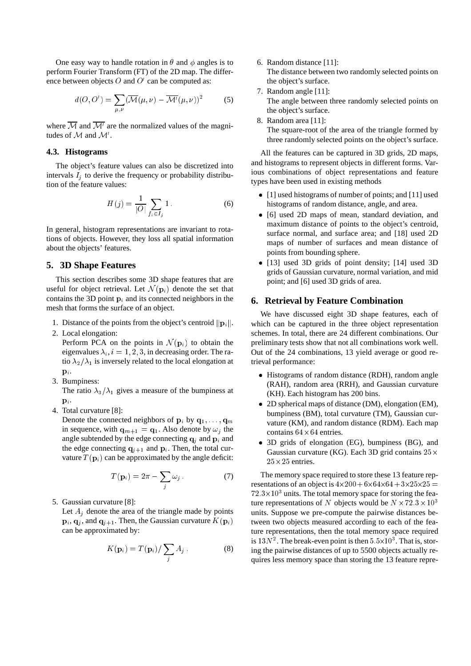One easy way to handle rotation in  $\theta$  and  $\phi$  angles is to perform Fourier Transform (FT) of the 2D map. The difference between objects  $O$  and  $O'$  can be computed as:

$$
d(O, O') = \sum_{\mu, \nu} (\overline{\mathcal{M}}(\mu, \nu) - \overline{\mathcal{M}'}(\mu, \nu))^2
$$
 (5)

where  $\mathcal M$  and  $\mathcal M'$  are the normalized values of the magnitudes of  $M$  and  $M'$ .

## **4.3. Histograms**

The object's feature values can also be discretized into intervals  $I_i$  to derive the frequency or probability distribution of the feature values:

$$
H(j) = \frac{1}{|O|} \sum_{f_i \in I_j} 1.
$$
 (6)

In general, histogram representations are invariant to rotations of objects. However, they loss all spatial information about the objects' features.

# **5. 3D Shape Features**

This section describes some 3D shape features that are useful for object retrieval. Let  $\mathcal{N}(\mathbf{p}_i)$  denote the set that contains the 3D point  $\mathbf{p}_i$  and its connected neighbors in the mesh that forms the surface of an object.

- 1. Distance of the points from the object's centroid  $\|\mathbf{p}_i\|$ .
- 2. Local elongation:

Perform PCA on the points in  $\mathcal{N}(\mathbf{p}_i)$  to obtain the eigenvalues  $\lambda_i$ ,  $i = 1, 2, 3$ , in decreasing order. The ratio  $\lambda_2/\lambda_1$  is inversely related to the local elongation at  ${\bf p}_i$ .

3. Bumpiness:

The ratio  $\lambda_3/\lambda_1$  gives a measure of the bumpiness at  $\mathbf{p}_i$ .

4. Total curvature [8]:

Denote the connected neighbors of  $\mathbf{p}_i$  by  $\mathbf{q}_1, \dots, \mathbf{q}_m$ in sequence, with  $\mathbf{q}_{m+1} = \mathbf{q}_1$ . Also denote by  $\omega_i$  the angle subtended by the edge connecting  $q_i$  and  $p_i$  and the edge connecting  $q_{j+1}$  and  $p_i$ . Then, the total curvature  $T(\mathbf{p}_i)$  can be approximated by the angle deficit:

$$
T(\mathbf{p}_i) = 2\pi - \sum_j \omega_j \,. \tag{7}
$$

5. Gaussian curvature [8]:

Let  $A_j$  denote the area of the triangle made by points  $\mathbf{p}_i$ ,  $\mathbf{q}_j$ , and  $\mathbf{q}_{j+1}$ . Then, the Gaussian curvature  $K(\mathbf{p}_i)$ can be approximated by:

$$
K(\mathbf{p}_i) = T(\mathbf{p}_i) / \sum_j A_j.
$$
 (8)

6. Random distance [11]:

The distance between two randomly selected points on the object's surface.

- 7. Random angle [11]: The angle between three randomly selected points on the object's surface.
- 8. Random area [11]: The square-root of the area of the triangle formed by three randomly selected points on the object's surface.

All the features can be captured in 3D grids, 2D maps, and histograms to represent objects in different forms. Various combinations of object representations and feature types have been used in existing methods

- [1] used histograms of number of points; and [11] used histograms of random distance, angle, and area.
- [6] used 2D maps of mean, standard deviation, and maximum distance of points to the object's centroid, surface normal, and surface area; and [18] used 2D maps of number of surfaces and mean distance of points from bounding sphere.
- [13] used 3D grids of point density; [14] used 3D grids of Gaussian curvature, normal variation, and mid point; and [6] used 3D grids of area.

### **6. Retrieval by Feature Combination**

We have discussed eight 3D shape features, each of which can be captured in the three object representation schemes. In total, there are 24 different combinations. Our preliminary tests show that not all combinations work well. Out of the 24 combinations, 13 yield average or good retrieval performance:

- Histograms of random distance (RDH), random angle (RAH), random area (RRH), and Gaussian curvature (KH). Each histogram has 200 bins.
- 2D spherical maps of distance (DM), elongation (EM), bumpiness (BM), total curvature (TM), Gaussian curvature (KM), and random distance (RDM). Each map contains  $64 \times 64$  entries.
- 3D grids of elongation (EG), bumpiness (BG), and Gaussian curvature (KG). Each 3D grid contains  $25 \times$  $25 \times 25$  entries.

The memory space required to store these 13 feature representations of an object is  $4 \times 200 + 6 \times 64 \times 64 + 3 \times 25 \times 25 =$  $72.3\times10^3$  units. The total memory space for storing the feature representations of N objects would be  $N \times 72.3 \times 10^3$ units. Suppose we pre-compute the pairwise distances between two objects measured according to each of the feature representations, then the total memory space required is  $13N^2$ . The break-even point is then  $5.5 \times 10^3$ . That is, storing the pairwise distances of up to 5500 objects actually requires less memory space than storing the 13 feature repre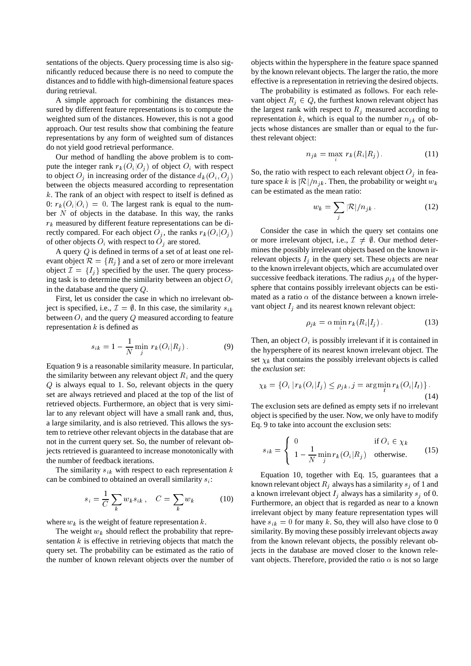sentations of the objects. Query processing time is also significantly reduced because there is no need to compute the distances and to fiddle with high-dimensional feature spaces during retrieval.

A simple approach for combining the distances measured by different feature representations is to compute the weighted sum of the distances. However, this is not a good approach. Our test results show that combining the feature representations by any form of weighted sum of distances do not yield good retrieval performance.

Our method of handling the above problem is to compute the integer rank  $r_k(O_i|O_j)$  of object  $O_i$  with respect to object  $O_i$  in increasing order of the distance  $d_k(O_i, O_j)$ between the objects measured according to representation  $k$ . The rank of an object with respect to itself is defined as 0:  $r_k(O_i|O_i) = 0$ . The largest rank is equal to the number  $N$  of objects in the database. In this way, the ranks  $r_k$  measured by different feature representations can be directly compared. For each object  $O_i$ , the ranks  $r_k(O_i|O_i)$ of other objects  $O_i$  with respect to  $O_j$  are stored.

A query Q is defined in terms of a set of at least one relevant object  $\mathcal{R} = \{R_i\}$  and a set of zero or more irrelevant object  $\mathcal{I} = \{I_j\}$  specified by the user. The query processing task is to determine the similarity between an object  $O_i$ in the database and the query Q.

First, let us consider the case in which no irrelevant object is specified, i.e.,  $\mathcal{I} = \emptyset$ . In this case, the similarity  $s_{ik}$ between  $O_i$  and the query Q measured according to feature representation  $k$  is defined as

$$
s_{ik} = 1 - \frac{1}{N} \min_{j} r_k(O_i|R_j).
$$
 (9)

Equation 9 is a reasonable similarity measure. In particular, the similarity between any relevant object  $R_i$  and the query Q is always equal to 1. So, relevant objects in the query set are always retrieved and placed at the top of the list of retrieved objects. Furthermore, an object that is very similar to any relevant object will have a small rank and, thus, a large similarity, and is also retrieved. This allows the system to retrieve other relevant objects in the database that are not in the current query set. So, the number of relevant objects retrieved is guaranteed to increase monotonically with the number of feedback iterations.

The similarity  $s_{ik}$  with respect to each representation k can be combined to obtained an overall similarity  $s_i$ :

$$
s_i = \frac{1}{C} \sum_k w_k s_{ik}, \quad C = \sum_k w_k \tag{10}
$$

where  $w_k$  is the weight of feature representation  $k$ .

The weight  $w_k$  should reflect the probability that representation  $k$  is effective in retrieving objects that match the query set. The probability can be estimated as the ratio of the number of known relevant objects over the number of objects within the hypersphere in the feature space spanned by the known relevant objects. The larger the ratio, the more effective is a representation in retrieving the desired objects.

The probability is estimated as follows. For each relevant object  $R_i \in Q$ , the furthest known relevant object has the largest rank with respect to  $R_i$  measured according to representation k, which is equal to the number  $n_{ik}$  of objects whose distances are smaller than or equal to the furthest relevant object:

$$
n_{jk} = \max_{k} r_k(R_i|R_j). \tag{11}
$$

So, the ratio with respect to each relevant object  $O_j$  in feature space k is  $\mathcal{R}|/n_{jk}$ . Then, the probability or weight  $w_k$ can be estimated as the mean ratio:

$$
w_k = \sum_j |\mathcal{R}| / n_{jk} \,. \tag{12}
$$

Consider the case in which the query set contains one or more irrelevant object, i.e.,  $\mathcal{I} \neq \emptyset$ . Our method determines the possibly irrelevant objects based on the known irrelevant objects  $I_i$  in the query set. These objects are near to the known irrelevant objects, which are accumulated over successive feedback iterations. The radius  $\rho_{ik}$  of the hypersphere that contains possibly irrelevant objects can be estimated as a ratio  $\alpha$  of the distance between a known irrelevant object  $I_j$  and its nearest known relevant object:

$$
\rho_{jk} = \alpha \min r_k(R_i|I_j). \tag{13}
$$

Then, an object  $O_i$  is possibly irrelevant if it is contained in the hypersphere of its nearest known irrelevant object. The set  $\chi_k$  that contains the possibly irrelevant objects is called the *exclusion set*:

$$
\chi_k = \{ O_i \mid r_k(O_i | I_j) \le \rho_{jk}, j = \arg\min_t r_k(O_i | I_t) \}.
$$
\n(14)

The exclusion sets are defined as empty sets if no irrelevant object is specified by the user. Now, we only have to modify Eq. 9 to take into account the exclusion sets:

$$
s_{ik} = \begin{cases} 0 & \text{if } O_i \in \chi_k \\ 1 - \frac{1}{N} \min_j r_k(O_i | R_j) & \text{otherwise.} \end{cases}
$$
 (15)

Equation 10, together with Eq. 15, guarantees that a known relevant object  $R_i$  always has a similarity  $s_i$  of 1 and a known irrelevant object  $I_i$  always has a similarity  $s_i$  of 0. Furthermore, an object that is regarded as near to a known irrelevant object by many feature representation types will have  $s_{ik} = 0$  for many k. So, they will also have close to 0 similarity. By moving these possibly irrelevant objects away from the known relevant objects, the possibly relevant objects in the database are moved closer to the known relevant objects. Therefore, provided the ratio  $\alpha$  is not so large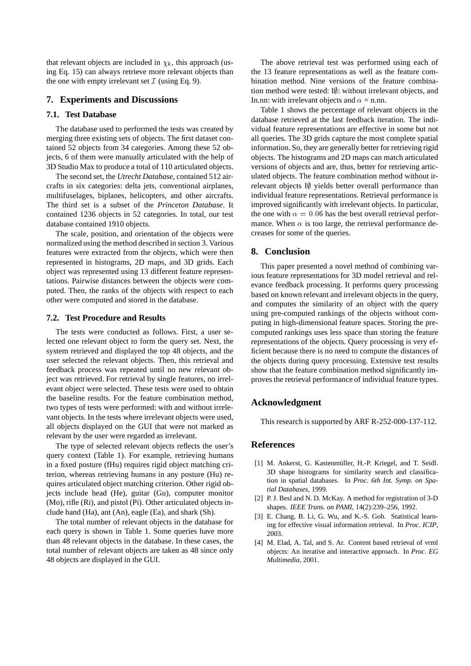that relevant objects are included in  $\chi_k$ , this approach (using Eq. 15) can always retrieve more relevant objects than the one with empty irrelevant set  $\mathcal I$  (using Eq. 9).

#### **7. Experiments and Discussions**

#### **7.1. Test Database**

The database used to performed the tests was created by merging three existing sets of objects. The first dataset contained 52 objects from 34 categories. Among these 52 objects, 6 of them were manually articulated with the help of 3D Studio Max to produce a total of 110 articulated objects.

The second set, the *Utrecht Database*, contained 512 aircrafts in six categories: delta jets, conventional airplanes, multifuselages, biplanes, helicopters, and other aircrafts. The third set is a subset of the *Princeton Database*. It contained 1236 objects in 52 categories. In total, our test database contained 1910 objects.

The scale, position, and orientation of the objects were normalized using the method described in section 3. Various features were extracted from the objects, which were then represented in histograms, 2D maps, and 3D grids. Each object was represented using 13 different feature representations. Pairwise distances between the objects were computed. Then, the ranks of the objects with respect to each other were computed and stored in the database.

#### **7.2. Test Procedure and Results**

The tests were conducted as follows. First, a user selected one relevant object to form the query set. Next, the system retrieved and displayed the top 48 objects, and the user selected the relevant objects. Then, this retrieval and feedback process was repeated until no new relevant object was retrieved. For retrieval by single features, no irrelevant object were selected. These tests were used to obtain the baseline results. For the feature combination method, two types of tests were performed: with and without irrelevant objects. In the tests where irrelevant objects were used, all objects displayed on the GUI that were not marked as relevant by the user were regarded as irrelevant.

The type of selected relevant objects reflects the user's query context (Table 1). For example, retrieving humans in a fixed posture (fHu) requires rigid object matching criterion, whereas retrieving humans in any posture (Hu) requires articulated object matching criterion. Other rigid objects include head (He), guitar (Gu), computer monitor (Mo), rifle (Ri), and pistol (Pi). Other articulated objects include hand (Ha), ant (An), eagle (Ea), and shark (Sh).

The total number of relevant objects in the database for each query is shown in Table 1. Some queries have more than 48 relevant objects in the database. In these cases, the total number of relevant objects are taken as 48 since only 48 objects are displayed in the GUI.

The above retrieval test was performed using each of the 13 feature representations as well as the feature combination method. Nine versions of the feature combination method were tested:  $I\emptyset$ : without irrelevant objects, and In.nn: with irrelevant objects and  $\alpha =$  n.nn.

Table 1 shows the percentage of relevant objects in the database retrieved at the last feedback iteration. The individual feature representations are effective in some but not all queries. The 3D grids capture the most complete spatial information. So, they are generally better for retrieving rigid objects. The histograms and 2D maps can match articulated versions of objects and are, thus, better for retrieving articulated objects. The feature combination method without irrelevant objects  $I\emptyset$  yields better overall performance than individual feature representations. Retrieval performance is improved significantly with irrelevant objects. In particular, the one with  $\alpha = 0.06$  has the best overall retrieval performance. When  $\alpha$  is too large, the retrieval performance decreases for some of the queries.

## **8. Conclusion**

This paper presented a novel method of combining various feature representations for 3D model retrieval and relevance feedback processing. It performs query processing based on known relevant and irrelevant objects in the query, and computes the similarity of an object with the query using pre-computed rankings of the objects without computing in high-dimensional feature spaces. Storing the precomputed rankings uses less space than storing the feature representations of the objects. Query processing is very efficient because there is no need to compute the distances of the objects during query processing. Extensive test results show that the feature combination method significantly improves the retrieval performance of individual feature types.

# **Acknowledgment**

This research is supported by ARF R-252-000-137-112.

# **References**

- [1] M. Ankerst, G. Kastenmüller, H.-P. Kriegel, and T. Seidl. 3D shape histograms for similarity search and classification in spatial databases. In *Proc. 6th Int. Symp. on Spatial Databases*, 1999.
- [2] P. J. Besl and N. D. McKay. A method for registration of 3-D shapes. *IEEE Trans. on PAMI*, 14(2):239–256, 1992.
- [3] E. Chang, B. Li, G. Wu, and K.-S. Goh. Statistical learning for effective visual information retrieval. In *Proc. ICIP*, 2003.
- [4] M. Elad, A. Tal, and S. Ar. Content based retrieval of vrml objects: An iterative and interactive approach. In *Proc. EG Multimedia*, 2001.